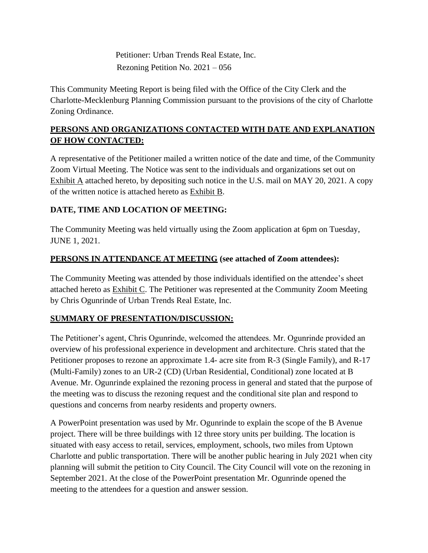Petitioner: Urban Trends Real Estate, Inc. Rezoning Petition No. 2021 – 056

This Community Meeting Report is being filed with the Office of the City Clerk and the Charlotte-Mecklenburg Planning Commission pursuant to the provisions of the city of Charlotte Zoning Ordinance.

# **PERSONS AND ORGANIZATIONS CONTACTED WITH DATE AND EXPLANATION OF HOW CONTACTED:**

A representative of the Petitioner mailed a written notice of the date and time, of the Community Zoom Virtual Meeting. The Notice was sent to the individuals and organizations set out on Exhibit A attached hereto, by depositing such notice in the U.S. mail on MAY 20, 2021. A copy of the written notice is attached hereto as Exhibit B.

# **DATE, TIME AND LOCATION OF MEETING:**

The Community Meeting was held virtually using the Zoom application at 6pm on Tuesday, JUNE 1, 2021.

# **PERSONS IN ATTENDANCE AT MEETING (see attached of Zoom attendees):**

The Community Meeting was attended by those individuals identified on the attendee's sheet attached hereto as Exhibit C. The Petitioner was represented at the Community Zoom Meeting by Chris Ogunrinde of Urban Trends Real Estate, Inc.

# **SUMMARY OF PRESENTATION/DISCUSSION:**

The Petitioner's agent, Chris Ogunrinde, welcomed the attendees. Mr. Ogunrinde provided an overview of his professional experience in development and architecture. Chris stated that the Petitioner proposes to rezone an approximate 1.4- acre site from R-3 (Single Family), and R-17 (Multi-Family) zones to an UR-2 (CD) (Urban Residential, Conditional) zone located at B Avenue. Mr. Ogunrinde explained the rezoning process in general and stated that the purpose of the meeting was to discuss the rezoning request and the conditional site plan and respond to questions and concerns from nearby residents and property owners.

A PowerPoint presentation was used by Mr. Ogunrinde to explain the scope of the B Avenue project. There will be three buildings with 12 three story units per building. The location is situated with easy access to retail, services, employment, schools, two miles from Uptown Charlotte and public transportation. There will be another public hearing in July 2021 when city planning will submit the petition to City Council. The City Council will vote on the rezoning in September 2021. At the close of the PowerPoint presentation Mr. Ogunrinde opened the meeting to the attendees for a question and answer session.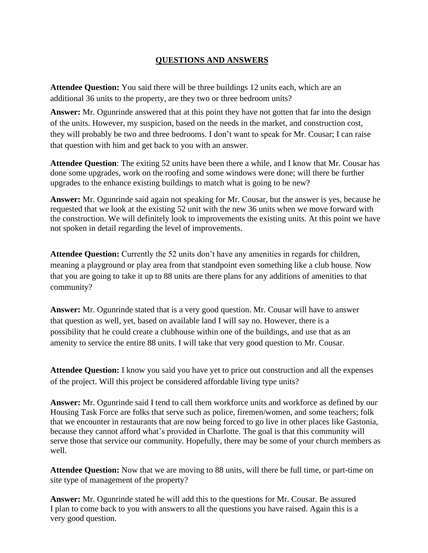## **QUESTIONS AND ANSWERS**

**Attendee Question:** You said there will be three buildings 12 units each, which are an additional 36 units to the property, are they two or three bedroom units?

**Answer:** Mr. Ogunrinde answered that at this point they have not gotten that far into the design of the units. However, my suspicion, based on the needs in the market, and construction cost, they will probably be two and three bedrooms. I don't want to speak for Mr. Cousar; I can raise that question with him and get back to you with an answer.

**Attendee Question**: The exiting 52 units have been there a while, and I know that Mr. Cousar has done some upgrades, work on the roofing and some windows were done; will there be further upgrades to the enhance existing buildings to match what is going to be new?

**Answer:** Mr. Ogunrinde said again not speaking for Mr. Cousar, but the answer is yes, because he requested that we look at the existing 52 unit with the new 36 units when we move forward with the construction. We will definitely look to improvements the existing units. At this point we have not spoken in detail regarding the level of improvements.

**Attendee Question:** Currently the 52 units don't have any amenities in regards for children, meaning a playground or play area from that standpoint even something like a club house. Now that you are going to take it up to 88 units are there plans for any additions of amenities to that community?

**Answer:** Mr. Ogunrinde stated that is a very good question. Mr. Cousar will have to answer that question as well, yet, based on available land I will say no. However, there is a possibility that he could create a clubhouse within one of the buildings, and use that as an amenity to service the entire 88 units. I will take that very good question to Mr. Cousar.

**Attendee Question:** I know you said you have yet to price out construction and all the expenses of the project. Will this project be considered affordable living type units?

**Answer:** Mr. Ogunrinde said I tend to call them workforce units and workforce as defined by our Housing Task Force are folks that serve such as police, firemen/women, and some teachers; folk that we encounter in restaurants that are now being forced to go live in other places like Gastonia, because they cannot afford what's provided in Charlotte. The goal is that this community will serve those that service our community. Hopefully, there may be some of your church members as well.

**Attendee Question:** Now that we are moving to 88 units, will there be full time, or part-time on site type of management of the property?

**Answer:** Mr. Ogunrinde stated he will add this to the questions for Mr. Cousar. Be assured I plan to come back to you with answers to all the questions you have raised. Again this is a very good question.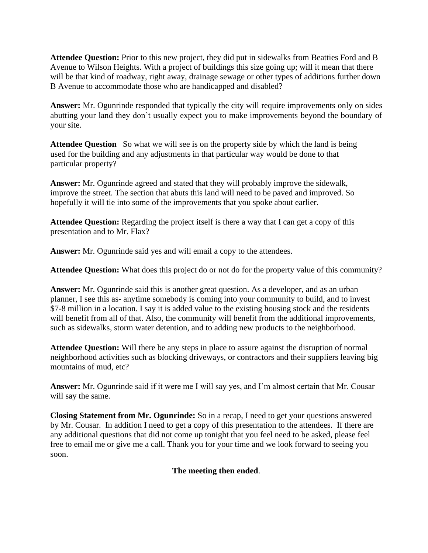**Attendee Question:** Prior to this new project, they did put in sidewalks from Beatties Ford and B Avenue to Wilson Heights. With a project of buildings this size going up; will it mean that there will be that kind of roadway, right away, drainage sewage or other types of additions further down B Avenue to accommodate those who are handicapped and disabled?

**Answer:** Mr. Ogunrinde responded that typically the city will require improvements only on sides abutting your land they don't usually expect you to make improvements beyond the boundary of your site.

**Attendee Question** So what we will see is on the property side by which the land is being used for the building and any adjustments in that particular way would be done to that particular property?

**Answer:** Mr. Ogunrinde agreed and stated that they will probably improve the sidewalk, improve the street. The section that abuts this land will need to be paved and improved. So hopefully it will tie into some of the improvements that you spoke about earlier.

**Attendee Question:** Regarding the project itself is there a way that I can get a copy of this presentation and to Mr. Flax?

**Answer:** Mr. Ogunrinde said yes and will email a copy to the attendees.

**Attendee Question:** What does this project do or not do for the property value of this community?

**Answer:** Mr. Ogunrinde said this is another great question. As a developer, and as an urban planner, I see this as- anytime somebody is coming into your community to build, and to invest \$7-8 million in a location. I say it is added value to the existing housing stock and the residents will benefit from all of that. Also, the community will benefit from the additional improvements, such as sidewalks, storm water detention, and to adding new products to the neighborhood.

**Attendee Question:** Will there be any steps in place to assure against the disruption of normal neighborhood activities such as blocking driveways, or contractors and their suppliers leaving big mountains of mud, etc?

**Answer:** Mr. Ogunrinde said if it were me I will say yes, and I'm almost certain that Mr. Cousar will say the same.

**Closing Statement from Mr. Ogunrinde:** So in a recap, I need to get your questions answered by Mr. Cousar. In addition I need to get a copy of this presentation to the attendees. If there are any additional questions that did not come up tonight that you feel need to be asked, please feel free to email me or give me a call. Thank you for your time and we look forward to seeing you soon.

## **The meeting then ended**.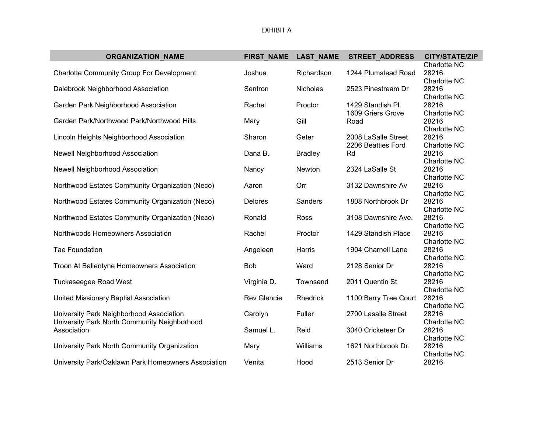| <b>ORGANIZATION NAME</b>                                                                                | FIRST_NAME         | <b>LAST_NAME</b> | <b>STREET_ADDRESS</b>     | <b>CITY/STATE/ZIP</b> |
|---------------------------------------------------------------------------------------------------------|--------------------|------------------|---------------------------|-----------------------|
| <b>Charlotte Community Group For Development</b>                                                        | Joshua             | Richardson       | 1244 Plumstead Road       | Charlotte NC<br>28216 |
| Dalebrook Neighborhood Association                                                                      | Sentron            | Nicholas         | 2523 Pinestream Dr        | Charlotte NC<br>28216 |
| Garden Park Neighborhood Association                                                                    | Rachel             | Proctor          | 1429 Standish PI          | Charlotte NC<br>28216 |
| Garden Park/Northwood Park/Northwood Hills                                                              | Mary               | Gill             | 1609 Griers Grove<br>Road | Charlotte NC<br>28216 |
| Lincoln Heights Neighborhood Association                                                                | Sharon             | Geter            | 2008 LaSalle Street       | Charlotte NC<br>28216 |
| Newell Neighborhood Association                                                                         | Dana B.            | <b>Bradley</b>   | 2206 Beatties Ford<br>Rd  | Charlotte NC<br>28216 |
| <b>Newell Neighborhood Association</b>                                                                  | Nancy              | Newton           | 2324 LaSalle St           | Charlotte NC<br>28216 |
| Northwood Estates Community Organization (Neco)                                                         | Aaron              | Orr              | 3132 Dawnshire Av         | Charlotte NC<br>28216 |
| Northwood Estates Community Organization (Neco)                                                         | Delores            | Sanders          | 1808 Northbrook Dr        | Charlotte NC<br>28216 |
| Northwood Estates Community Organization (Neco)                                                         | Ronald             | Ross             | 3108 Dawnshire Ave.       | Charlotte NC<br>28216 |
| Northwoods Homeowners Association                                                                       | Rachel             | Proctor          | 1429 Standish Place       | Charlotte NC<br>28216 |
| <b>Tae Foundation</b>                                                                                   | Angeleen           | Harris           | 1904 Charnell Lane        | Charlotte NC<br>28216 |
| Troon At Ballentyne Homeowners Association                                                              | <b>Bob</b>         | Ward             | 2128 Senior Dr            | Charlotte NC<br>28216 |
| <b>Tuckaseegee Road West</b>                                                                            | Virginia D.        | Townsend         | 2011 Quentin St           | Charlotte NC<br>28216 |
| United Missionary Baptist Association                                                                   | <b>Rev Glencie</b> | <b>Rhedrick</b>  | 1100 Berry Tree Court     | Charlotte NC<br>28216 |
| University Park Neighborhood Association<br>University Park North Community Neighborhood<br>Association | Carolyn            | Fuller           | 2700 Lasalle Street       | Charlotte NC<br>28216 |
|                                                                                                         | Samuel L.          | Reid             | 3040 Cricketeer Dr        | Charlotte NC<br>28216 |
| University Park North Community Organization                                                            | Mary               | Williams         | 1621 Northbrook Dr.       | Charlotte NC<br>28216 |
| University Park/Oaklawn Park Homeowners Association                                                     | Venita             | Hood             | 2513 Senior Dr            | Charlotte NC<br>28216 |
|                                                                                                         |                    |                  |                           |                       |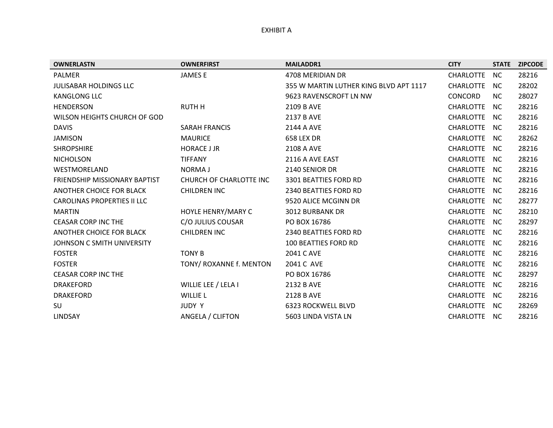#### EXHIBIT A

| <b>OWNERLASTN</b>                  | <b>OWNERFIRST</b>       | <b>MAILADDR1</b>                       | <b>CITY</b>      | <b>STATE</b> | <b>ZIPCODE</b> |
|------------------------------------|-------------------------|----------------------------------------|------------------|--------------|----------------|
| <b>PALMER</b>                      | <b>JAMESE</b>           | 4708 MERIDIAN DR                       | <b>CHARLOTTE</b> | <b>NC</b>    | 28216          |
| <b>JULISABAR HOLDINGS LLC</b>      |                         | 355 W MARTIN LUTHER KING BLVD APT 1117 | <b>CHARLOTTE</b> | NC.          | 28202          |
| <b>KANGLONG LLC</b>                |                         | 9623 RAVENSCROFT LN NW                 | CONCORD          | <b>NC</b>    | 28027          |
| <b>HENDERSON</b>                   | <b>RUTH H</b>           | 2109 B AVE                             | <b>CHARLOTTE</b> | NC.          | 28216          |
| WILSON HEIGHTS CHURCH OF GOD       |                         | 2137 B AVE                             | <b>CHARLOTTE</b> | NC.          | 28216          |
| <b>DAVIS</b>                       | <b>SARAH FRANCIS</b>    | 2144 A AVE                             | <b>CHARLOTTE</b> | NC.          | 28216          |
| <b>JAMISON</b>                     | <b>MAURICE</b>          | 658 LEX DR                             | <b>CHARLOTTE</b> | NC.          | 28262          |
| <b>SHROPSHIRE</b>                  | <b>HORACE J JR</b>      | 2108 A AVE                             | <b>CHARLOTTE</b> | NC.          | 28216          |
| <b>NICHOLSON</b>                   | <b>TIFFANY</b>          | 2116 A AVE EAST                        | <b>CHARLOTTE</b> | NC.          | 28216          |
| WESTMORELAND                       | <b>NORMAJ</b>           | 2140 SENIOR DR                         | CHARLOTTE        | NC.          | 28216          |
| FRIENDSHIP MISSIONARY BAPTIST      | CHURCH OF CHARLOTTE INC | 3301 BEATTIES FORD RD                  | <b>CHARLOTTE</b> | NC.          | 28216          |
| ANOTHER CHOICE FOR BLACK           | <b>CHILDREN INC</b>     | 2340 BEATTIES FORD RD                  | <b>CHARLOTTE</b> | NC.          | 28216          |
| <b>CAROLINAS PROPERTIES II LLC</b> |                         | 9520 ALICE MCGINN DR                   | <b>CHARLOTTE</b> | NC.          | 28277          |
| <b>MARTIN</b>                      | HOYLE HENRY/MARY C      | <b>3012 BURBANK DR</b>                 | <b>CHARLOTTE</b> | NC.          | 28210          |
| <b>CEASAR CORP INC THE</b>         | C/O JULIUS COUSAR       | PO BOX 16786                           | <b>CHARLOTTE</b> | NC.          | 28297          |
| ANOTHER CHOICE FOR BLACK           | <b>CHILDREN INC</b>     | 2340 BEATTIES FORD RD                  | <b>CHARLOTTE</b> | NC.          | 28216          |
| JOHNSON C SMITH UNIVERSITY         |                         | <b>100 BEATTIES FORD RD</b>            | <b>CHARLOTTE</b> | NC.          | 28216          |
| <b>FOSTER</b>                      | <b>TONY B</b>           | 2041 C AVE                             | <b>CHARLOTTE</b> | NC.          | 28216          |
| <b>FOSTER</b>                      | TONY/ ROXANNE f. MENTON | 2041 C AVE                             | <b>CHARLOTTE</b> | NC.          | 28216          |
| <b>CEASAR CORP INC THE</b>         |                         | PO BOX 16786                           | <b>CHARLOTTE</b> | NC.          | 28297          |
| <b>DRAKEFORD</b>                   | WILLIE LEE / LELA I     | 2132 B AVE                             | <b>CHARLOTTE</b> | NC.          | 28216          |
| <b>DRAKEFORD</b>                   | <b>WILLIE L</b>         | 2128 B AVE                             | <b>CHARLOTTE</b> | NC.          | 28216          |
| SU                                 | JUDY Y                  | 6323 ROCKWELL BLVD                     | <b>CHARLOTTE</b> | NC.          | 28269          |
| <b>LINDSAY</b>                     | ANGELA / CLIFTON        | 5603 LINDA VISTA LN                    | <b>CHARLOTTE</b> | NC.          | 28216          |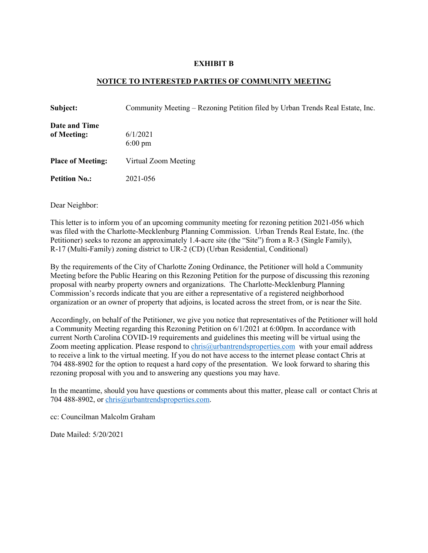#### **EXHIBIT B**

#### **NOTICE TO INTERESTED PARTIES OF COMMUNITY MEETING**

| Subject:                     | Community Meeting – Rezoning Petition filed by Urban Trends Real Estate, Inc. |
|------------------------------|-------------------------------------------------------------------------------|
| Date and Time<br>of Meeting: | 6/1/2021<br>$6:00 \text{ pm}$                                                 |
| <b>Place of Meeting:</b>     | Virtual Zoom Meeting                                                          |
| <b>Petition No.:</b>         | 2021-056                                                                      |

Dear Neighbor:

This letter is to inform you of an upcoming community meeting for rezoning petition 2021-056 which was filed with the Charlotte-Mecklenburg Planning Commission. Urban Trends Real Estate, Inc. (the Petitioner) seeks to rezone an approximately 1.4-acre site (the "Site") from a R-3 (Single Family), R-17 (Multi-Family) zoning district to UR-2 (CD) (Urban Residential, Conditional)

By the requirements of the City of Charlotte Zoning Ordinance, the Petitioner will hold a Community Meeting before the Public Hearing on this Rezoning Petition for the purpose of discussing this rezoning proposal with nearby property owners and organizations. The Charlotte-Mecklenburg Planning Commission's records indicate that you are either a representative of a registered neighborhood organization or an owner of property that adjoins, is located across the street from, or is near the Site.

Accordingly, on behalf of the Petitioner, we give you notice that representatives of the Petitioner will hold a Community Meeting regarding this Rezoning Petition on 6/1/2021 at 6:00pm. In accordance with current North Carolina COVID-19 requirements and guidelines this meeting will be virtual using the Zoom meeting application. Please respond to chris@urbantrendsproperties.com with your email address to receive a link to the virtual meeting. If you do not have access to the internet please contact Chris at 704 488-8902 for the option to request a hard copy of the presentation. We look forward to sharing this rezoning proposal with you and to answering any questions you may have.

In the meantime, should you have questions or comments about this matter, please call or contact Chris at 704 488-8902, or chris@urbantrendsproperties.com.

cc: Councilman Malcolm Graham

Date Mailed: 5/20/2021